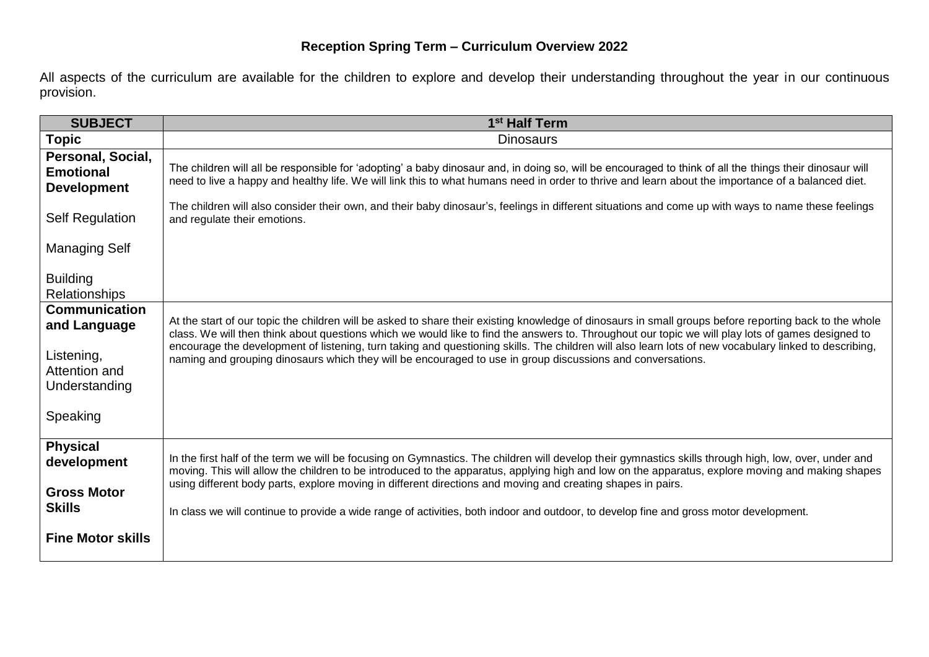## **Reception Spring Term – Curriculum Overview 2022**

All aspects of the curriculum are available for the children to explore and develop their understanding throughout the year in our continuous provision.

| <b>SUBJECT</b>                                                                                   | 1 <sup>st</sup> Half Term                                                                                                                                                                                                                                                                                                                                                                                                                                                                                                                                                          |
|--------------------------------------------------------------------------------------------------|------------------------------------------------------------------------------------------------------------------------------------------------------------------------------------------------------------------------------------------------------------------------------------------------------------------------------------------------------------------------------------------------------------------------------------------------------------------------------------------------------------------------------------------------------------------------------------|
| <b>Topic</b>                                                                                     | <b>Dinosaurs</b>                                                                                                                                                                                                                                                                                                                                                                                                                                                                                                                                                                   |
| Personal, Social,<br><b>Emotional</b><br><b>Development</b>                                      | The children will all be responsible for 'adopting' a baby dinosaur and, in doing so, will be encouraged to think of all the things their dinosaur will<br>need to live a happy and healthy life. We will link this to what humans need in order to thrive and learn about the importance of a balanced diet.                                                                                                                                                                                                                                                                      |
| <b>Self Regulation</b>                                                                           | The children will also consider their own, and their baby dinosaur's, feelings in different situations and come up with ways to name these feelings<br>and regulate their emotions.                                                                                                                                                                                                                                                                                                                                                                                                |
| <b>Managing Self</b>                                                                             |                                                                                                                                                                                                                                                                                                                                                                                                                                                                                                                                                                                    |
| <b>Building</b><br><b>Relationships</b>                                                          |                                                                                                                                                                                                                                                                                                                                                                                                                                                                                                                                                                                    |
| <b>Communication</b><br>and Language<br>Listening,<br>Attention and<br>Understanding<br>Speaking | At the start of our topic the children will be asked to share their existing knowledge of dinosaurs in small groups before reporting back to the whole<br>class. We will then think about questions which we would like to find the answers to. Throughout our topic we will play lots of games designed to<br>encourage the development of listening, turn taking and questioning skills. The children will also learn lots of new vocabulary linked to describing,<br>naming and grouping dinosaurs which they will be encouraged to use in group discussions and conversations. |
|                                                                                                  |                                                                                                                                                                                                                                                                                                                                                                                                                                                                                                                                                                                    |
| <b>Physical</b><br>development<br><b>Gross Motor</b><br><b>Skills</b>                            | In the first half of the term we will be focusing on Gymnastics. The children will develop their gymnastics skills through high, low, over, under and<br>moving. This will allow the children to be introduced to the apparatus, applying high and low on the apparatus, explore moving and making shapes<br>using different body parts, explore moving in different directions and moving and creating shapes in pairs.<br>In class we will continue to provide a wide range of activities, both indoor and outdoor, to develop fine and gross motor development.                 |
| <b>Fine Motor skills</b>                                                                         |                                                                                                                                                                                                                                                                                                                                                                                                                                                                                                                                                                                    |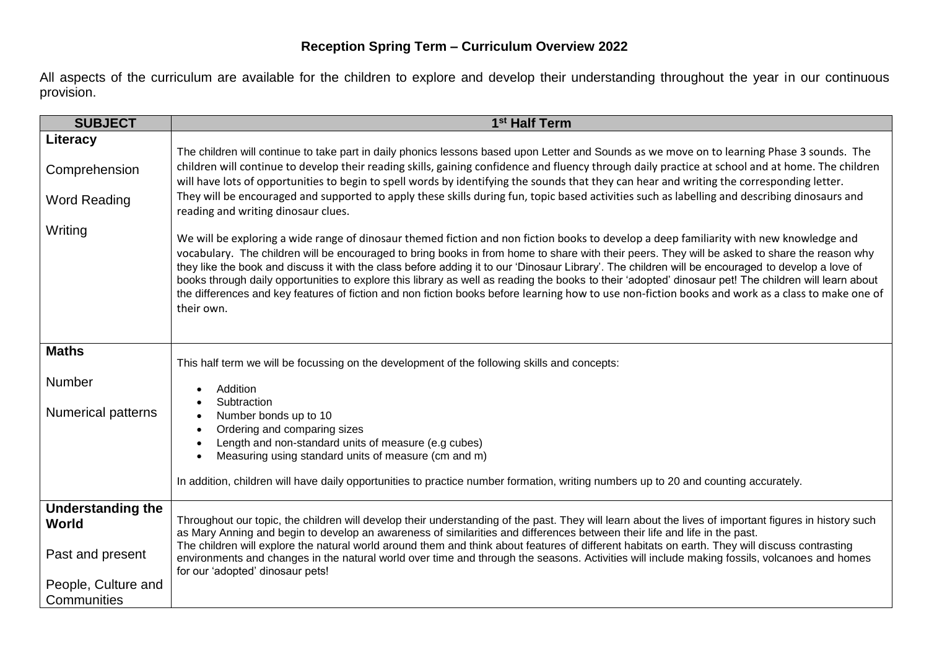All aspects of the curriculum are available for the children to explore and develop their understanding throughout the year in our continuous provision.

| <b>SUBJECT</b>                                   | 1 <sup>st</sup> Half Term                                                                                                                                                                                                                                                                                                                                                                                                                                                                                                                                                                                                                                                                                                                                                 |
|--------------------------------------------------|---------------------------------------------------------------------------------------------------------------------------------------------------------------------------------------------------------------------------------------------------------------------------------------------------------------------------------------------------------------------------------------------------------------------------------------------------------------------------------------------------------------------------------------------------------------------------------------------------------------------------------------------------------------------------------------------------------------------------------------------------------------------------|
| Literacy<br>Comprehension<br><b>Word Reading</b> | The children will continue to take part in daily phonics lessons based upon Letter and Sounds as we move on to learning Phase 3 sounds. The<br>children will continue to develop their reading skills, gaining confidence and fluency through daily practice at school and at home. The children<br>will have lots of opportunities to begin to spell words by identifying the sounds that they can hear and writing the corresponding letter.<br>They will be encouraged and supported to apply these skills during fun, topic based activities such as labelling and describing dinosaurs and<br>reading and writing dinosaur clues.                                                                                                                                    |
| Writing                                          | We will be exploring a wide range of dinosaur themed fiction and non fiction books to develop a deep familiarity with new knowledge and<br>vocabulary. The children will be encouraged to bring books in from home to share with their peers. They will be asked to share the reason why<br>they like the book and discuss it with the class before adding it to our 'Dinosaur Library'. The children will be encouraged to develop a love of<br>books through daily opportunities to explore this library as well as reading the books to their 'adopted' dinosaur pet! The children will learn about<br>the differences and key features of fiction and non fiction books before learning how to use non-fiction books and work as a class to make one of<br>their own. |
| <b>Maths</b>                                     | This half term we will be focussing on the development of the following skills and concepts:                                                                                                                                                                                                                                                                                                                                                                                                                                                                                                                                                                                                                                                                              |
| Number<br><b>Numerical patterns</b>              | Addition<br>Subtraction<br>Number bonds up to 10<br>Ordering and comparing sizes<br>$\bullet$<br>Length and non-standard units of measure (e.g cubes)                                                                                                                                                                                                                                                                                                                                                                                                                                                                                                                                                                                                                     |
|                                                  | Measuring using standard units of measure (cm and m)<br>$\bullet$                                                                                                                                                                                                                                                                                                                                                                                                                                                                                                                                                                                                                                                                                                         |
|                                                  | In addition, children will have daily opportunities to practice number formation, writing numbers up to 20 and counting accurately.                                                                                                                                                                                                                                                                                                                                                                                                                                                                                                                                                                                                                                       |
| <b>Understanding the</b><br>World                | Throughout our topic, the children will develop their understanding of the past. They will learn about the lives of important figures in history such<br>as Mary Anning and begin to develop an awareness of similarities and differences between their life and life in the past.<br>The children will explore the natural world around them and think about features of different habitats on earth. They will discuss contrasting                                                                                                                                                                                                                                                                                                                                      |
| Past and present                                 | environments and changes in the natural world over time and through the seasons. Activities will include making fossils, volcanoes and homes<br>for our 'adopted' dinosaur pets!                                                                                                                                                                                                                                                                                                                                                                                                                                                                                                                                                                                          |
| People, Culture and<br>Communities               |                                                                                                                                                                                                                                                                                                                                                                                                                                                                                                                                                                                                                                                                                                                                                                           |